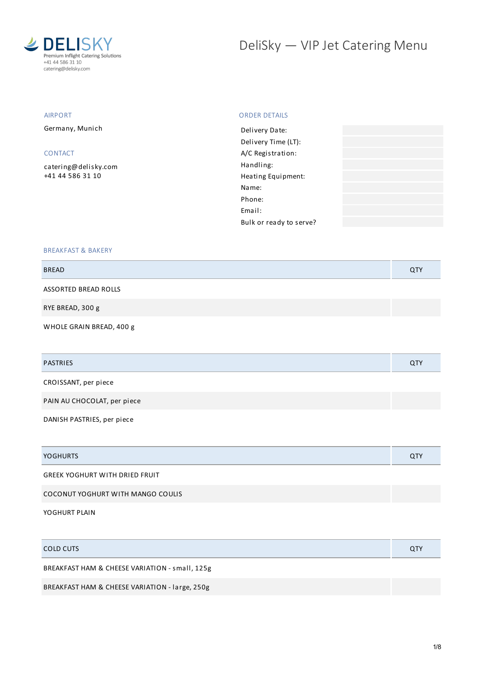

# DeliSky - VIP Jet Catering Menu

#### AIRPORT

Germany, Munich

#### CONTACT

[catering@delisky.com](mailto:catering@delisky.com) +41 44 586 31 10

#### ORDER DETAILS

| Delivery Date:          |  |
|-------------------------|--|
| Delivery Time (LT):     |  |
| A/C Registration:       |  |
| Handling:               |  |
| Heating Equipment:      |  |
| Name:                   |  |
| Phone:                  |  |
| Email:                  |  |
| Bulk or ready to serve? |  |
|                         |  |

#### BREAKFAST & BAKERY

| <b>BREAD</b>             | <b>QTY</b> |
|--------------------------|------------|
| ASSORTED BREAD ROLLS     |            |
| RYE BREAD, 300 g         |            |
| WHOLE GRAIN BREAD, 400 g |            |

| <b>PASTRIES</b>             | <b>QTY</b> |
|-----------------------------|------------|
| CROISSANT, per piece        |            |
| PAIN AU CHOCOLAT, per piece |            |

DANISH PASTRIES, per piece

| <b>YOGHURTS</b>                       | <b>QTY</b> |
|---------------------------------------|------------|
| <b>GREEK YOGHURT WITH DRIED FRUIT</b> |            |
|                                       |            |

COCONUT YOGHURT WITH MANGO COULIS

YOGHURT PLAIN

| COLD CUTS                                      | <b>QTY</b> |
|------------------------------------------------|------------|
| BREAKFAST HAM & CHEESE VARIATION - small, 125g |            |
| BREAKFAST HAM & CHEESE VARIATION - large, 250g |            |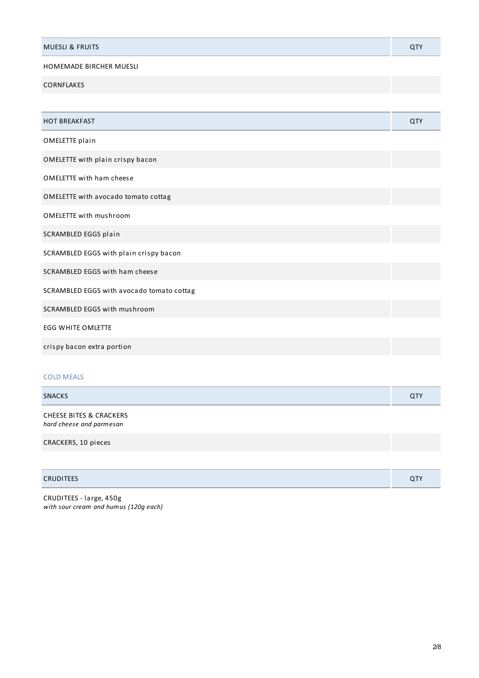| <b>MUESLI &amp; FRUITS</b> |  |
|----------------------------|--|
|                            |  |

## HOMEMADE BIRCHER MUESLI

CORNFLAKES

| <b>HOT BREAKFAST</b>                      | <b>QTY</b> |
|-------------------------------------------|------------|
| OMELETTE plain                            |            |
| OMELETTE with plain crispy bacon          |            |
| <b>OMELETTE with ham cheese</b>           |            |
| OMELETTE with avocado tomato cottag       |            |
| <b>OMELETTE with mushroom</b>             |            |
| SCRAMBLED EGGS plain                      |            |
| SCRAMBLED EGGS with plain crispy bacon    |            |
| SCRAMBLED EGGS with ham cheese            |            |
| SCRAMBLED EGGS with avocado tomato cottag |            |
| SCRAMBLED EGGS with mushroom              |            |
| <b>EGG WHITE OMLETTE</b>                  |            |
| crispy bacon extra portion                |            |
|                                           |            |

## COLD MEALS

| <b>SNACKS</b>           |  |
|-------------------------|--|
| CULTEE DITEC 8 COACUEDE |  |

CHEESE BITES & CRACKERS *hard cheese and parmesan*

CRACKERS, 10 pieces

| <b>CRUDITEES</b> | $\sim$ TV<br>$\alpha$ . |
|------------------|-------------------------|
|------------------|-------------------------|

CRUDITEES - large, 450g *with sour cream and humus (120g each)*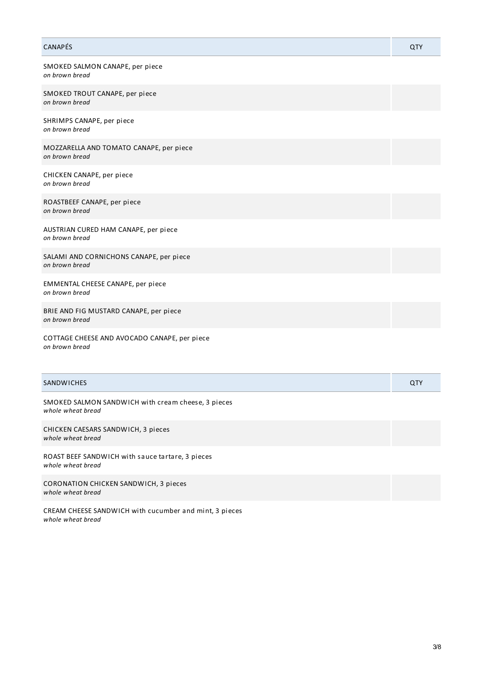## CANAPÉS QTY SMOKED SALMON CANAPE, per piece *on brown bread* SMOKED TROUT CANAPE, per piece *on brown bread* SHRIMPS CANAPE, per piece *on brown bread* MOZZARELLA AND TOMATO CANAPE, per piece *on brown bread* CHICKEN CANAPE, per piece *on brown bread* ROASTBEEF CANAPE, per piece *on brown bread* AUSTRIAN CURED HAM CANAPE, per piece *on brown bread* SALAMI AND CORNICHONS CANAPE, per piece *on brown bread* EMMENTAL CHEESE CANAPE, per piece *on brown bread* BRIE AND FIG MUSTARD CANAPE, per piece *on brown bread*

COTTAGE CHEESE AND AVOCADO CANAPE, per piece *on brown bread*

| <b>SANDWICHES</b>                                                           | QTY |
|-----------------------------------------------------------------------------|-----|
| SMOKED SALMON SANDWICH with cream cheese, 3 pieces<br>whole wheat bread     |     |
| CHICKEN CAESARS SANDWICH, 3 pieces<br>whole wheat bread                     |     |
| ROAST BEEF SANDWICH with sauce tartare, 3 pieces<br>whole wheat bread       |     |
| <b>CORONATION CHICKEN SANDWICH, 3 pieces</b><br>whole wheat bread           |     |
| CREAM CHEESE SANDWICH with cucumber and mint, 3 pieces<br>whole wheat bread |     |

3/8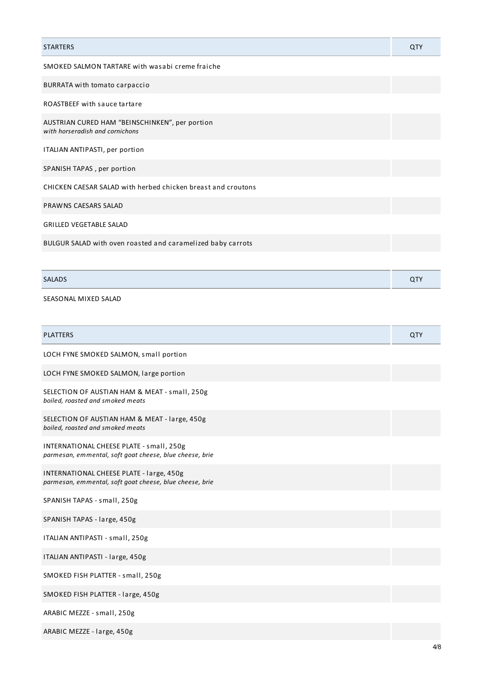| <b>STARTERS</b>                                                                   | QTY        |
|-----------------------------------------------------------------------------------|------------|
| SMOKED SALMON TARTARE with wasabi creme fraiche                                   |            |
| BURRATA with tomato carpaccio                                                     |            |
| <b>ROASTBEEF with sauce tartare</b>                                               |            |
| AUSTRIAN CURED HAM "BEINSCHINKEN", per portion<br>with horseradish and cornichons |            |
| ITALIAN ANTIPASTI, per portion                                                    |            |
| SPANISH TAPAS, per portion                                                        |            |
| CHICKEN CAESAR SALAD with herbed chicken breast and croutons                      |            |
| PRAWNS CAESARS SALAD                                                              |            |
| <b>GRILLED VEGETABLE SALAD</b>                                                    |            |
| BULGUR SALAD with oven roasted and caramelized baby carrots                       |            |
|                                                                                   |            |
| <b>SALADS</b>                                                                     | <b>QTY</b> |
| SEASONAL MIXED SALAD                                                              |            |

| <b>PLATTERS</b>                                                                                     | QTY |
|-----------------------------------------------------------------------------------------------------|-----|
| LOCH FYNE SMOKED SALMON, small portion                                                              |     |
| LOCH FYNE SMOKED SALMON, large portion                                                              |     |
| SELECTION OF AUSTIAN HAM & MEAT - small, 250g<br>boiled, roasted and smoked meats                   |     |
| SELECTION OF AUSTIAN HAM & MEAT - large, 450g<br>boiled, roasted and smoked meats                   |     |
| INTERNATIONAL CHEESE PLATE - small, 250g<br>parmesan, emmental, soft goat cheese, blue cheese, brie |     |
| INTERNATIONAL CHEESE PLATE - large, 450g<br>parmesan, emmental, soft goat cheese, blue cheese, brie |     |
| SPANISH TAPAS - small, 250g                                                                         |     |
| SPANISH TAPAS - large, 450g                                                                         |     |
| ITALIAN ANTIPASTI - small, 250g                                                                     |     |
| ITALIAN ANTIPASTI - large, 450g                                                                     |     |
| SMOKED FISH PLATTER - small, 250g                                                                   |     |
| SMOKED FISH PLATTER - large, 450g                                                                   |     |
| ARABIC MEZZE - small, 250g                                                                          |     |
|                                                                                                     |     |

ARABIC MEZZE - large, 450g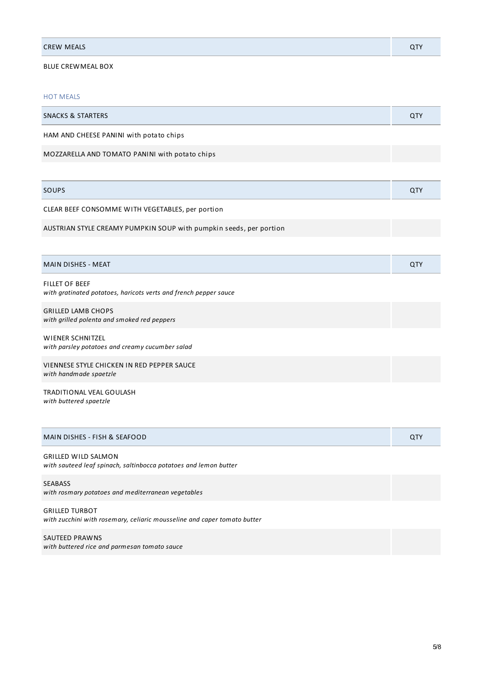| <b>CREW MEALS</b><br>________ |  |
|-------------------------------|--|
|                               |  |

## BLUE CREWMEAL BOX

#### HOT MEALS

| <b>HOT MEALS</b>                                                                          |     |
|-------------------------------------------------------------------------------------------|-----|
| <b>SNACKS &amp; STARTERS</b>                                                              | QTY |
| HAM AND CHEESE PANINI with potato chips                                                   |     |
| MOZZARELLA AND TOMATO PANINI with potato chips                                            |     |
|                                                                                           |     |
| SOUPS                                                                                     | QTY |
| CLEAR BEEF CONSOMME WITH VEGETABLES, per portion                                          |     |
| AUSTRIAN STYLE CREAMY PUMPKIN SOUP with pumpkin seeds, per portion                        |     |
|                                                                                           |     |
|                                                                                           |     |
| <b>MAIN DISHES - MEAT</b>                                                                 | QTY |
| <b>FILLET OF BEEF</b><br>with gratinated potatoes, haricots verts and french pepper sauce |     |
| <b>GRILLED LAMB CHOPS</b><br>with grilled polenta and smoked red peppers                  |     |
| WIENER SCHNITZEL<br>with parsley potatoes and creamy cucumber salad                       |     |
| VIENNESE STYLE CHICKEN IN RED PEPPER SAUCE<br>with handmade spaetzle                      |     |

| MAIN DISHES - FISH & SEAFOOD | $\mathbf{u}$ |
|------------------------------|--------------|
|                              |              |

GRILLED WILD SALMON *with sauteed leaf spinach, saltinbocca potatoes and lemon butter*

#### SEABASS

*with rosmary potatoes and mediterranean vegetables* GRILLED TURBOT

*with zucchini with rosemary, celiaric mousseline and caper tomato butter*

SAUTEED PRAWNS *with buttered rice and parmesan tomato sauce*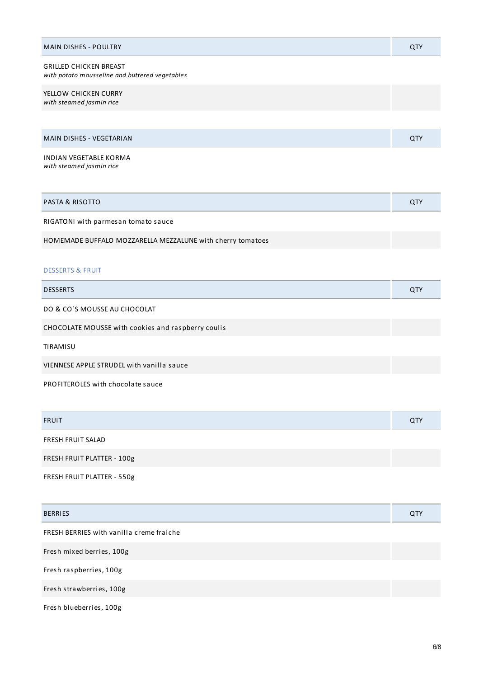| <b>MAIN DISHES - POULTRY</b>                                                    | QTY |
|---------------------------------------------------------------------------------|-----|
| <b>GRILLED CHICKEN BREAST</b><br>with potato mousseline and buttered vegetables |     |
| YELLOW CHICKEN CURRY<br>with steamed jasmin rice                                |     |
|                                                                                 |     |
| <b>MAIN DISHES - VEGETARIAN</b>                                                 | QTY |
| <b>INDIAN VEGETABLE KORMA</b><br>with steamed jasmin rice                       |     |

| PASTA & RISOTTO                                            | <b>QTY</b> |
|------------------------------------------------------------|------------|
| RIGATONI with parmesan tomato sauce                        |            |
| HOMEMADE BUFFALO MOZZARELLA MEZZALUNE with cherry tomatoes |            |
|                                                            |            |

#### DESSERTS & FRUIT

| <b>DESSERTS</b>                                    | <b>QTY</b> |
|----------------------------------------------------|------------|
| DO & CO'S MOUSSE AU CHOCOLAT                       |            |
| CHOCOLATE MOUSSE with cookies and raspberry coulis |            |
| TIRAMISU                                           |            |
| VIENNESE APPLE STRUDEL with vanilla sauce          |            |
| PROFITEROLES with chocolate sauce                  |            |

| <b>FRUIT</b>               | <b>QTY</b> |
|----------------------------|------------|
| FRESH FRUIT SALAD          |            |
| FRESH FRUIT PLATTER - 100g |            |

FRESH FRUIT PLATTER - 550g

| <b>BERRIES</b>                           | QTY |
|------------------------------------------|-----|
| FRESH BERRIES with vanilla creme fraiche |     |
| Fresh mixed berries, 100g                |     |
| Fresh raspberries, 100g                  |     |
| Fresh strawberries, 100g                 |     |
| Fresh blueberries, 100g                  |     |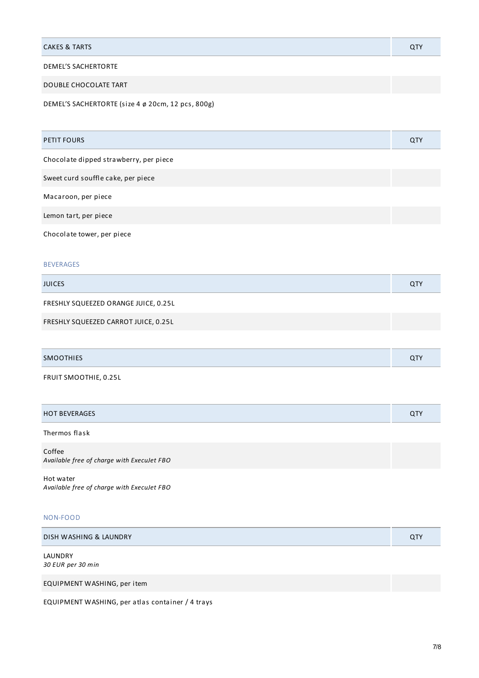| <b>CAKES &amp; TARTS</b>   | QTY |
|----------------------------|-----|
| <b>DEMEL'S SACHERTORTE</b> |     |

### DOUBLE CHOCOLATE TART

DEMEL'S SACHERTORTE (size 4 ø 20cm, 12 pcs, 800g)

| <b>PETIT FOURS</b>                     | QTY |
|----------------------------------------|-----|
| Chocolate dipped strawberry, per piece |     |
| Sweet curd souffle cake, per piece     |     |
| Macaroon, per piece                    |     |
| Lemon tart, per piece                  |     |
| Chocolate tower, per piece             |     |

#### BEVERAGES

| <b>JUICES</b>                        | <b>QTY</b> |
|--------------------------------------|------------|
| FRESHLY SQUEEZED ORANGE JUICE, 0.25L |            |
| FRESHLY SQUEEZED CARROT JUICE, 0.25L |            |

| SMOU |  |
|------|--|
|      |  |

FRUIT SMOOTHIE, 0.25L

| $- - -$<br>$\sqcup$<br>. .<br>」ヒー |  |
|-----------------------------------|--|
|                                   |  |

#### Thermos flask

Coffee *Available free of charge with ExecuJet FBO*

Hot water *Available free of charge with ExecuJet FBO*

#### NON-FOOD

| DISH WASHING & LAUNDRY |  |
|------------------------|--|
|                        |  |

LAUNDRY *30 EUR per 30 min*

EQUIPMENT WASHING, per item

EQUIPMENT WASHING, per atlas container / 4 trays